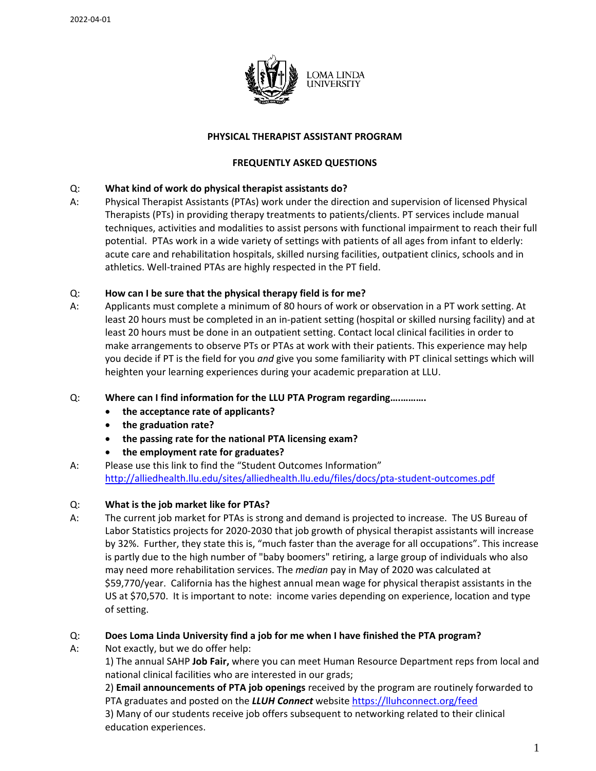

### **PHYSICAL THERAPIST ASSISTANT PROGRAM**

### **FREQUENTLY ASKED QUESTIONS**

### Q: **What kind of work do physical therapist assistants do?**

A: Physical Therapist Assistants (PTAs) work under the direction and supervision of licensed Physical Therapists (PTs) in providing therapy treatments to patients/clients. PT services include manual techniques, activities and modalities to assist persons with functional impairment to reach their full potential. PTAs work in a wide variety of settings with patients of all ages from infant to elderly: acute care and rehabilitation hospitals, skilled nursing facilities, outpatient clinics, schools and in athletics. Well-trained PTAs are highly respected in the PT field.

## Q: **How can I be sure that the physical therapy field is for me?**

A: Applicants must complete a minimum of 80 hours of work or observation in a PT work setting. At least 20 hours must be completed in an in-patient setting (hospital or skilled nursing facility) and at least 20 hours must be done in an outpatient setting. Contact local clinical facilities in order to make arrangements to observe PTs or PTAs at work with their patients. This experience may help you decide if PT is the field for you *and* give you some familiarity with PT clinical settings which will heighten your learning experiences during your academic preparation at LLU.

#### Q: **Where can I find information for the LLU PTA Program regarding….……….**

- **the acceptance rate of applicants?**
- **the graduation rate?**
- **the passing rate for the national PTA licensing exam?**
- **the employment rate for graduates?**
- A: Please use this link to find the "Student Outcomes Information" <http://alliedhealth.llu.edu/sites/alliedhealth.llu.edu/files/docs/pta-student-outcomes.pdf>

#### Q: **What is the job market like for PTAs?**

A: The current job market for PTAs is strong and demand is projected to increase. The US Bureau of Labor Statistics projects for 2020-2030 that job growth of physical therapist assistants will increase by 32%. Further, they state this is, "much faster than the average for all occupations". This increase is partly due to the high number of "baby boomers" retiring, a large group of individuals who also may need more rehabilitation services. The *median* pay in May of 2020 was calculated at \$59,770/year. California has the highest annual mean wage for physical therapist assistants in the US at \$70,570. It is important to note: income varies depending on experience, location and type of setting.

#### Q: **Does Loma Linda University find a job for me when I have finished the PTA program?**

A: Not exactly, but we do offer help:

1) The annual SAHP **Job Fair,** where you can meet Human Resource Department reps from local and national clinical facilities who are interested in our grads;

2) **Email announcements of PTA job openings** received by the program are routinely forwarded to PTA graduates and posted on the *LLUH Connect* website<https://lluhconnect.org/feed>

3) Many of our students receive job offers subsequent to networking related to their clinical education experiences.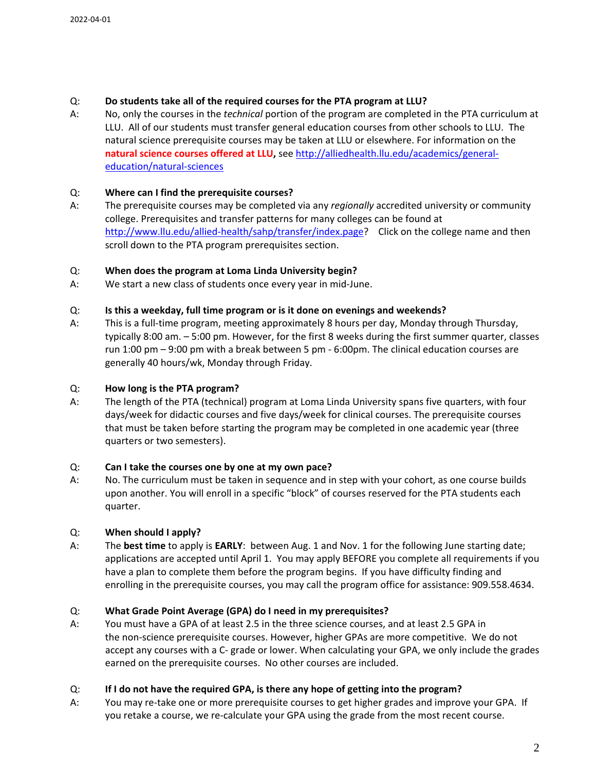# Q: **Do students take all of the required courses for the PTA program at LLU?**

A: No, only the courses in the *technical* portion of the program are completed in the PTA curriculum at LLU. All of our students must transfer general education courses from other schools to LLU. The natural science prerequisite courses may be taken at LLU or elsewhere. For information on the **natural science courses offered at LLU,** see [http://alliedhealth.llu.edu/academics/general](http://alliedhealth.llu.edu/academics/general-education/natural-sciences)[education/natural-sciences](http://alliedhealth.llu.edu/academics/general-education/natural-sciences)

## Q: **Where can I find the prerequisite courses?**

A: The prerequisite courses may be completed via any *regionally* accredited university or community college. Prerequisites and transfer patterns for many colleges can be found at [http://www.llu.edu/allied-health/sahp/transfer/index.page?](http://www.llu.edu/allied-health/sahp/transfer/index.page) Click on the college name and then scroll down to the PTA program prerequisites section.

## Q: **When does the program at Loma Linda University begin?**

A: We start a new class of students once every year in mid-June.

## Q: **Is this a weekday, full time program or is it done on evenings and weekends?**

A: This is a full-time program, meeting approximately 8 hours per day, Monday through Thursday, typically 8:00 am. – 5:00 pm. However, for the first 8 weeks during the first summer quarter, classes run 1:00 pm – 9:00 pm with a break between 5 pm - 6:00pm. The clinical education courses are generally 40 hours/wk, Monday through Friday.

# Q: **How long is the PTA program?**

A: The length of the PTA (technical) program at Loma Linda University spans five quarters, with four days/week for didactic courses and five days/week for clinical courses. The prerequisite courses that must be taken before starting the program may be completed in one academic year (three quarters or two semesters).

#### Q: **Can I take the courses one by one at my own pace?**

A: No. The curriculum must be taken in sequence and in step with your cohort, as one course builds upon another. You will enroll in a specific "block" of courses reserved for the PTA students each quarter.

# Q: **When should I apply?**

A: The **best time** to apply is **EARLY**: between Aug. 1 and Nov. 1 for the following June starting date; applications are accepted until April 1. You may apply BEFORE you complete all requirements if you have a plan to complete them before the program begins. If you have difficulty finding and enrolling in the prerequisite courses, you may call the program office for assistance: 909.558.4634.

# Q: **What Grade Point Average (GPA) do I need in my prerequisites?**

A: You must have a GPA of at least 2.5 in the three science courses, and at least 2.5 GPA in the non-science prerequisite courses. However, higher GPAs are more competitive. We do not accept any courses with a C- grade or lower. When calculating your GPA, we only include the grades earned on the prerequisite courses. No other courses are included.

#### Q: **If I do not have the required GPA, is there any hope of getting into the program?**

A: You may re-take one or more prerequisite courses to get higher grades and improve your GPA. If you retake a course, we re-calculate your GPA using the grade from the most recent course.